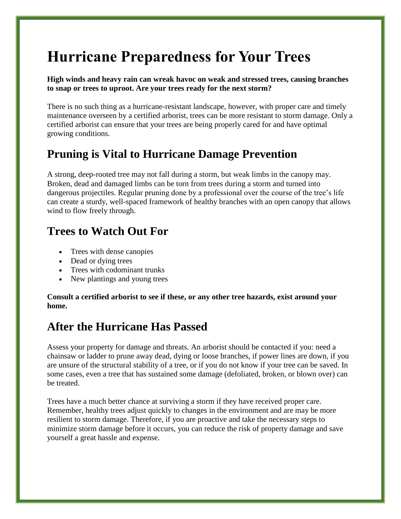# **Hurricane Preparedness for Your Trees**

**High winds and heavy rain can wreak havoc on weak and stressed trees, causing branches to snap or trees to uproot. Are your trees ready for the next storm?**

There is no such thing as a hurricane-resistant landscape, however, with proper care and timely maintenance overseen by a certified arborist, trees can be more resistant to storm damage. Only a certified arborist can ensure that your trees are being properly cared for and have optimal growing conditions.

## **Pruning is Vital to Hurricane Damage Prevention**

A strong, deep-rooted tree may not fall during a storm, but weak limbs in the canopy may. Broken, dead and damaged limbs can be torn from trees during a storm and turned into dangerous projectiles. Regular pruning done by a professional over the course of the tree's life can create a sturdy, well-spaced framework of healthy branches with an open canopy that allows wind to flow freely through.

## **Trees to Watch Out For**

- Trees with dense canopies
- Dead or dying trees
- Trees with codominant trunks
- New plantings and young trees

**Consult a certified arborist to see if these, or any other tree hazards, exist around your home.**

#### **After the Hurricane Has Passed**

Assess your property for damage and threats. An arborist should be contacted if you: need a chainsaw or ladder to prune away dead, dying or loose branches, if power lines are down, if you are unsure of the structural stability of a tree, or if you do not know if your tree can be saved. In some cases, even a tree that has sustained some damage (defoliated, broken, or blown over) can be treated.

Trees have a much better chance at surviving a storm if they have received proper care. Remember, healthy trees adjust quickly to changes in the environment and are may be more resilient to storm damage. Therefore, if you are proactive and take the necessary steps to minimize storm damage before it occurs, you can reduce the risk of property damage and save yourself a great hassle and expense.